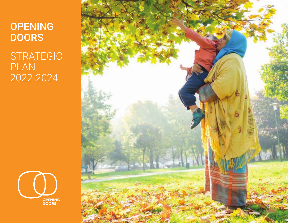### **OPENING DOORS**

STRATEGIC PLAN 2022-2024



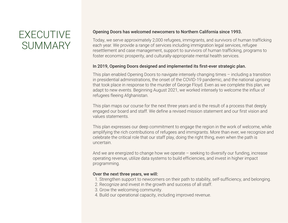# EXECUTIVE **SUMMARY**

#### Opening Doors has welcomed newcomers to Northern California since 1993. Ĭ

Today, we serve approximately 2,000 refugees, immigrants, and survivors of human trafficking each year. We provide a range of services including immigration legal services, refugee resettlement and case management, support to survivors of human trafficking, programs to foster economic prosperity, and culturally-appropriate mental health services.

#### In 2019, Opening Doors designed and implemented its first-ever strategic plan.

This plan enabled Opening Doors to navigate intensely changing times – including a transition in presidential administrations, the onset of the COVID-19 pandemic, and the national uprising that took place in response to the murder of George Floyd. Even as we complete this plan, we adapt to new events. Beginning August 2021, we worked intensely to welcome the influx of refugees fleeing Afghanistan.

This plan maps our course for the next three years and is the result of a process that deeply engaged our board and staff. We define a revised mission statement and our first vision and values statements.

This plan expresses our deep commitment to engage the region in the work of welcome, while amplifying the rich contributions of refugees and immigrants. More than ever, we recognize and celebrate the critical role that our staff play, doing the right thing, even when the path is uncertain.

And we are energized to change how we operate – seeking to diversify our funding, increase operating revenue, utilize data systems to build efficiencies, and invest in higher impact programming.

#### Over the next three years, we will:

- 1. Strengthen support to newcomers on their path to stability, self-sufficiency, and belonging.
- 2. Recognize and invest in the growth and success of all staff.
- 3. Grow the welcoming community.
- 4. Build our operational capacity, including improved revenue.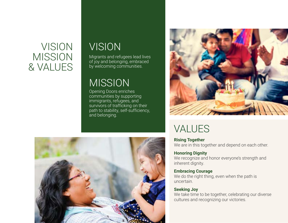### VISION MISSION & VALUES

# VISION

Migrants and refugees lead lives of joy and belonging, embraced by welcoming communities.

### MISSION

Opening Doors enriches communities by supporting immigrants, refugees, and survivors of trafficking on their path to stability, self-sufficiency, and belonging.



# VALUES

**Rising Together** We are in this together and depend on each other. ľ

#### **Honoring Dignity**

We recognize and honor everyone's strength and inherent dignity. j

#### **Embracing Courage**

We do the right thing, even when the path is uncertain. j

#### **Seeking Joy**

We take time to be together, celebrating our diverse cultures and recognizing our victories.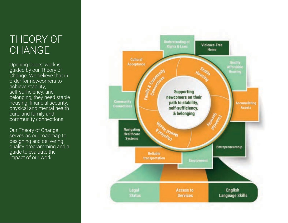# THEORY OF **CHANGE**

Opening Doors' work is guided by our Theory of Change. We believe that in order for newcomers to achieve stability, self-sufficiency, and belonging, they need stable housing, financial security, physical and mental health care, and family and community connections.

Our Theory of Change serves as our roadmap to designing and delivering quality programming and a guide to evaluate the impact of our work.

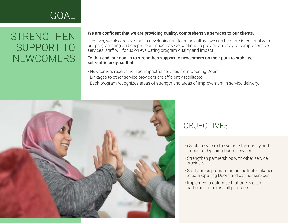### **STRENGTHEN** SUPPORT TO NEWCOMERS

#### We are confident that we are providing quality, comprehensive services to our clients. ľ

However, we also believe that in developing our learning culture, we can be more intentional with our programming and deepen our impact. As we continue to provide an array of comprehensive services, staff will focus on evaluating program quality and impact. Ĭ

#### To that end, our goal is to strengthen support to newcomers on their path to stability, self-sufficiency, so that:

- Newcomers receive holistic, impactful services from Opening Doors.
- Linkages to other service providers are efficiently facilitated.
- Each program recognizes areas of strength and areas of improvement in service delivery.



- Create a system to evaluate the quality and impact of Opening Doors services.
- Strengthen partnerships with other service providers.
- Staff across program areas facilitate linkages to both Opening Doors and partner services.
- Implement a database that tracks client participation across all programs.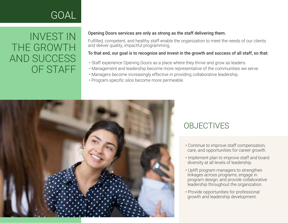### INVEST IN THE GROWTH AND SUCCESS OF STAFF

#### Opening Doors services are only as strong as the staff delivering them. Ĭ

Fulfilled, competent, and healthy staff enable the organization to meet the needs of our clients and deliver quality, impactful programming. Ì

#### To that end, our goal is to recognize and invest in the growth and success of all staff, so that:

- Staff experience Opening Doors as a place where they thrive and grow as leaders.
- Management and leadership become more representative of the communities we serve.
- Managers become increasingly effective in providing collaborative leadership.
- Program-specific silos become more permeable.



- Continue to improve staff compensation, care, and opportunities for career growth.
- Implement plan to improve staff and board diversity at all levels of leadership.
- Uplift program managers to strengthen linkages across programs, engage in program design, and provide collaborative leadership throughout the organization.
- Provide opportunities for professional growth and leadership development.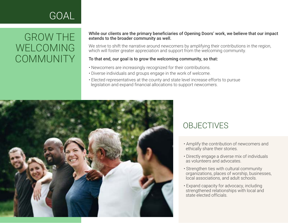### GROW THE WELCOMING **COMMUNITY**

#### While our clients are the primary beneficiaries of Opening Doors' work, we believe that our impact extends to the broader community as well. Ĭ

We strive to shift the narrative around newcomers by amplifying their contributions in the region, which will foster greater appreciation and support from the welcoming community. ľ

### To that end, our goal is to grow the welcoming community, so that:

- Newcomers are increasingly recognized for their contributions.
- Diverse individuals and groups engage in the work of welcome.
- Elected representatives at the county and state level increase efforts to pursue legislation and expand financial allocations to support newcomers.



- Amplify the contribution of newcomers and ethically share their stories.
- Directly engage a diverse mix of individuals as volunteers and advocates.
- Strengthen ties with cultural community organizations, places of worship, businesses, local associations, and adult schools.
- Expand capacity for advocacy, including strengthened relationships with local and state elected officials.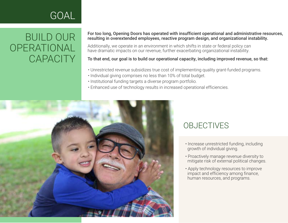### BUILD OUR **OPERATIONAL CAPACITY**

#### For too long, Opening Doors has operated with insufficient operational and administrative resources, resulting in overextended employees, reactive program design, and organizational instability. i

Additionally, we operate in an environment in which shifts in state or federal policy can have dramatic impacts on our revenue, further exacerbating organizational instability. i.

To that end, our goal is to build our operational capacity, including improved revenue, so that:

- Unrestricted revenue subsidizes true cost of implementing quality grant-funded programs.
- Individual giving comprises no less than 10% of total budget.
- Institutional funding targets a diverse program portfolio.
- Enhanced use of technology results in increased operational efficiencies.



- Increase unrestricted funding, including growth of individual giving.
- Proactively manage revenue diversity to mitigate risk of external political changes.
- Apply technology resources to improve impact and efficiency among finance, human resources, and programs.